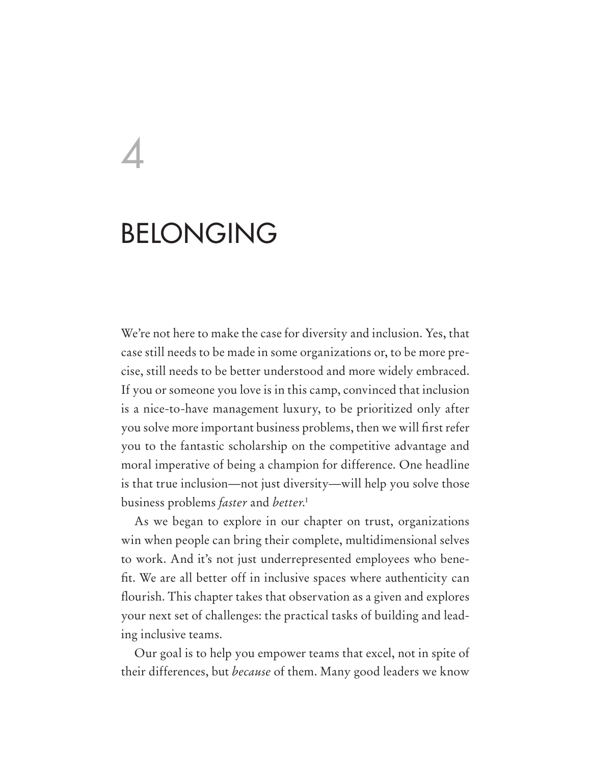## 4

## BELONGING

 We're not here to make the case for diversity and inclusion. Yes, that case still needs to be made in some organizations or, to be more precise, still needs to be better understood and more widely embraced. If you or someone you love is in this camp, convinced that inclusion is a nice-to-have management luxury, to be prioritized only after you solve more important business problems, then we will first refer you to the fantastic scholarship on the competitive advantage and moral imperative of being a champion for difference. One headline is that true inclusion— not just diversity— will help you solve those business problems *faster* and *better*.<sup>1</sup>

 As we began to explore in our chapter on trust, organizations win when people can bring their complete, multidimensional selves to work. And it's not just underrepresented employees who benefit. We are all better off in inclusive spaces where authenticity can flourish. This chapter takes that observation as a given and explores your next set of challenges: the practical tasks of building and leading inclusive teams.

 Our goal is to help you empower teams that excel, not in spite of their differences, but *because* of them. Many good leaders we know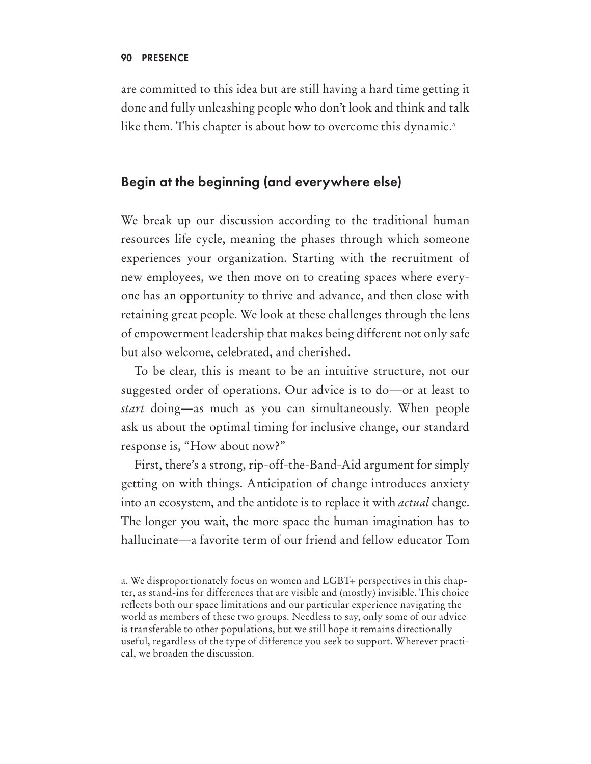are committed to this idea but are still having a hard time getting it done and fully unleashing people who don't look and think and talk like them. This chapter is about how to overcome this dynamic.<sup>a</sup>

## **Begin at the beginning (and everywhere else)**

 We break up our discussion according to the traditional human resources life cycle, meaning the phases through which someone experiences your organization. Starting with the recruitment of new employees, we then move on to creating spaces where everyone has an opportunity to thrive and advance, and then close with retaining great people. We look at these challenges through the lens of empowerment leadership that makes being different not only safe but also welcome, celebrated, and cherished.

 To be clear, this is meant to be an intuitive structure, not our suggested order of operations. Our advice is to do— or at least to *start* doing— as much as you can simultaneously. When people ask us about the optimal timing for inclusive change, our standard response is, "How about now?"

First, there's a strong, rip-off-the-Band-Aid argument for simply getting on with things. Anticipation of change introduces anxiety into an ecosystem, and the antidote is to replace it with *actual* change. The longer you wait, the more space the human imagination has to hallucinate—a favorite term of our friend and fellow educator Tom

a. We disproportionately focus on women and LGBT+ perspectives in this chapter, as stand- ins for differences that are visible and (mostly) invisible. This choice reflects both our space limitations and our particular experience navigating the world as members of these two groups. Needless to say, only some of our advice is transferable to other populations, but we still hope it remains directionally useful, regardless of the type of difference you seek to support. Wherever practical, we broaden the discussion.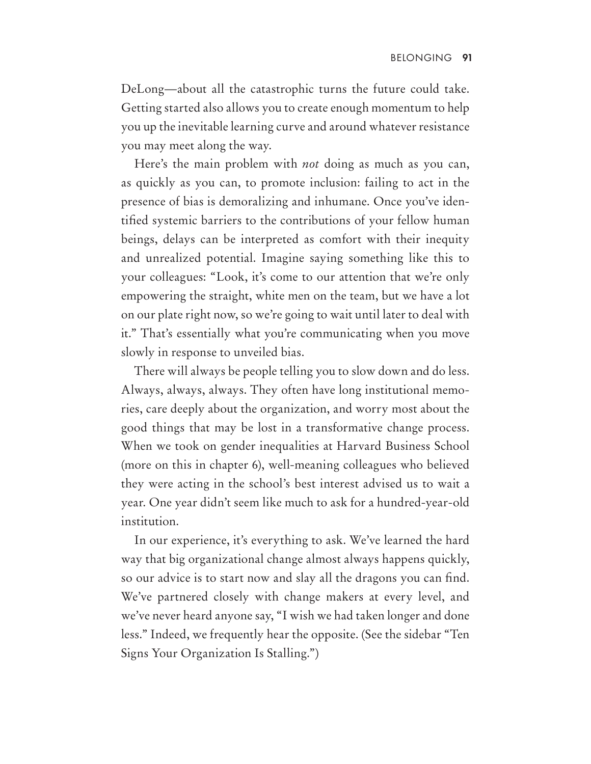DeLong— about all the catastrophic turns the future could take. Getting started also allows you to create enough momentum to help you up the inevitable learning curve and around whatever resistance you may meet along the way.

 Here's the main problem with *not* doing as much as you can, as quickly as you can, to promote inclusion: failing to act in the presence of bias is demoralizing and inhumane. Once you've identified systemic barriers to the contributions of your fellow human beings, delays can be interpreted as comfort with their inequity and unrealized potential. Imagine saying something like this to your colleagues: "Look, it's come to our attention that we're only empowering the straight, white men on the team, but we have a lot on our plate right now, so we're going to wait until later to deal with it." That's essentially what you're communicating when you move slowly in response to unveiled bias.

 There will always be people telling you to slow down and do less. Always, always, always. They often have long institutional memories, care deeply about the organization, and worry most about the good things that may be lost in a transformative change process. When we took on gender inequalities at Harvard Business School (more on this in chapter 6), well-meaning colleagues who believed they were acting in the school's best interest advised us to wait a year. One year didn't seem like much to ask for a hundred-year-old institution.

 In our experience, it's everything to ask. We've learned the hard way that big organizational change almost always happens quickly, so our advice is to start now and slay all the dragons you can find. We've partnered closely with change makers at every level, and we've never heard anyone say, "I wish we had taken longer and done less." Indeed, we frequently hear the opposite. (See the sidebar "Ten Signs Your Organization Is Stalling.")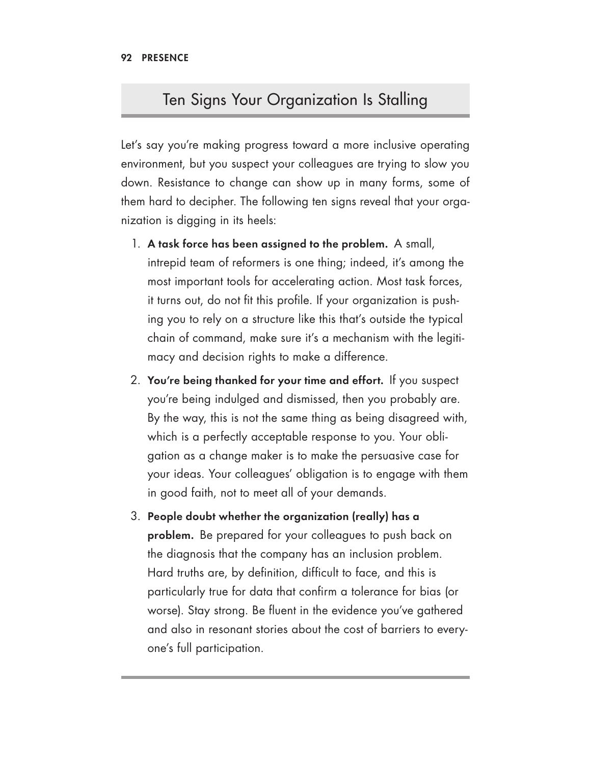## Ten Signs Your Organization Is Stalling

Let's say you're making progress toward a more inclusive operating environment, but you suspect your colleagues are trying to slow you down. Resistance to change can show up in many forms, some of them hard to decipher. The following ten signs reveal that your organization is digging in its heels:

- 1. **A task force has been assigned to the problem.** A small, intrepid team of reformers is one thing; indeed, it's among the most important tools for accelerating action. Most task forces, it turns out, do not fit this profile. If your organization is pushing you to rely on a structure like this that's outside the typical chain of command, make sure it's a mechanism with the legitimacy and decision rights to make a difference.
- 2. **You're being thanked for your time and effort.** If you suspect you're being indulged and dismissed, then you probably are. By the way, this is not the same thing as being disagreed with, which is a perfectly acceptable response to you. Your obligation as a change maker is to make the persuasive case for your ideas. Your colleagues' obligation is to engage with them in good faith, not to meet all of your demands.
- 3. **People doubt whether the organization (really) has a problem.** Be prepared for your colleagues to push back on the diagnosis that the company has an inclusion problem. Hard truths are, by definition, difficult to face, and this is particularly true for data that confirm a tolerance for bias (or worse). Stay strong. Be fluent in the evidence you've gathered and also in resonant stories about the cost of barriers to everyone's full participation.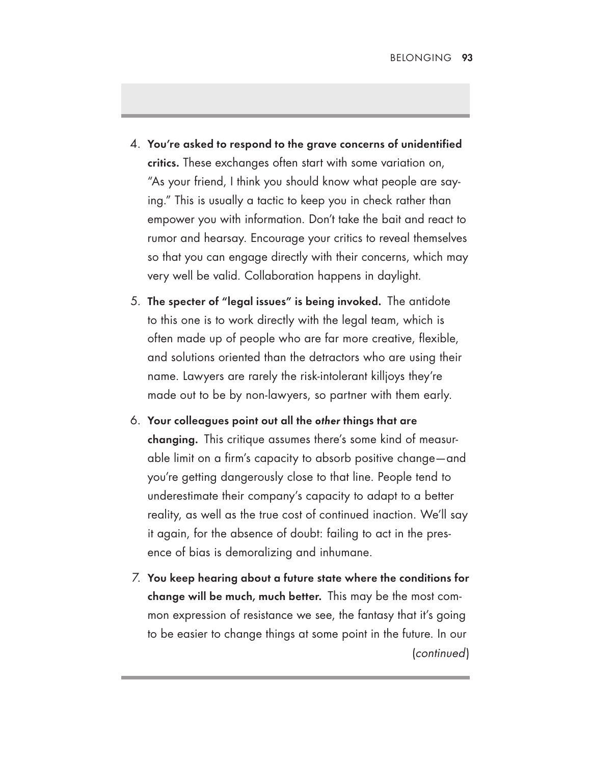- 4. **You're asked to respond to the grave concerns of unidentified critics.** These exchanges often start with some variation on, "As your friend, I think you should know what people are saying." This is usually a tactic to keep you in check rather than empower you with information. Don't take the bait and react to rumor and hearsay. Encourage your critics to reveal themselves so that you can engage directly with their concerns, which may very well be valid. Collaboration happens in daylight.
- 5. **The specter of "legal issues" is being invoked.** The antidote to this one is to work directly with the legal team, which is often made up of people who are far more creative, flexible, and solutions oriented than the detractors who are using their name. Lawyers are rarely the risk- intolerant killjoys they're made out to be by non-lawyers, so partner with them early.
- 6. **Your colleagues point out all the other things that are changing.** This critique assumes there's some kind of measurable limit on a firm's capacity to absorb positive change—and you're getting dangerously close to that line. People tend to underestimate their company's capacity to adapt to a better reality, as well as the true cost of continued inaction. We'll say it again, for the absence of doubt: failing to act in the presence of bias is demoralizing and inhumane.
- 7. **You keep hearing about a future state where the conditions for change will be much, much better.** This may be the most common expression of resistance we see, the fantasy that it's going to be easier to change things at some point in the future. In our (*continued*)